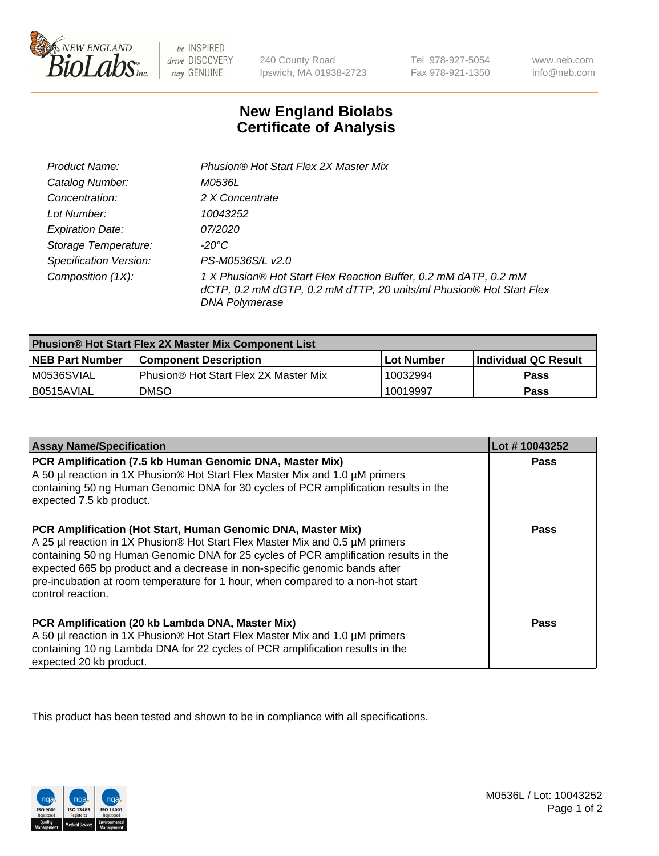

be INSPIRED drive DISCOVERY stay GENUINE

240 County Road Ipswich, MA 01938-2723

Tel 978-927-5054 Fax 978-921-1350

www.neb.com info@neb.com

## **New England Biolabs Certificate of Analysis**

| Product Name:                 | Phusion® Hot Start Flex 2X Master Mix                                                                                                                     |
|-------------------------------|-----------------------------------------------------------------------------------------------------------------------------------------------------------|
| Catalog Number:               | <i>M0536L</i>                                                                                                                                             |
| Concentration:                | 2 X Concentrate                                                                                                                                           |
| Lot Number:                   | 10043252                                                                                                                                                  |
| <b>Expiration Date:</b>       | <i>07/2020</i>                                                                                                                                            |
| Storage Temperature:          | -20°C                                                                                                                                                     |
| <b>Specification Version:</b> | PS-M0536S/L v2.0                                                                                                                                          |
| Composition (1X):             | 1 X Phusion® Hot Start Flex Reaction Buffer, 0.2 mM dATP, 0.2 mM<br>dCTP, 0.2 mM dGTP, 0.2 mM dTTP, 20 units/ml Phusion® Hot Start Flex<br>DNA Polymerase |

| Phusion® Hot Start Flex 2X Master Mix Component List |                                       |              |                      |  |
|------------------------------------------------------|---------------------------------------|--------------|----------------------|--|
| <b>NEB Part Number</b>                               | <b>Component Description</b>          | l Lot Number | Individual QC Result |  |
| M0536SVIAL                                           | Phusion® Hot Start Flex 2X Master Mix | 10032994     | <b>Pass</b>          |  |
| I B0515AVIAL                                         | <b>DMSO</b>                           | 10019997     | <b>Pass</b>          |  |

| <b>Assay Name/Specification</b>                                                                                                                                                                                                                                                                                                                                                                                            | Lot #10043252 |
|----------------------------------------------------------------------------------------------------------------------------------------------------------------------------------------------------------------------------------------------------------------------------------------------------------------------------------------------------------------------------------------------------------------------------|---------------|
| PCR Amplification (7.5 kb Human Genomic DNA, Master Mix)<br>A 50 µl reaction in 1X Phusion® Hot Start Flex Master Mix and 1.0 µM primers<br>containing 50 ng Human Genomic DNA for 30 cycles of PCR amplification results in the<br>expected 7.5 kb product.                                                                                                                                                               | Pass          |
| PCR Amplification (Hot Start, Human Genomic DNA, Master Mix)<br>A 25 µl reaction in 1X Phusion® Hot Start Flex Master Mix and 0.5 µM primers<br>containing 50 ng Human Genomic DNA for 25 cycles of PCR amplification results in the<br>expected 665 bp product and a decrease in non-specific genomic bands after<br>pre-incubation at room temperature for 1 hour, when compared to a non-hot start<br>control reaction. | <b>Pass</b>   |
| PCR Amplification (20 kb Lambda DNA, Master Mix)<br>A 50 µl reaction in 1X Phusion® Hot Start Flex Master Mix and 1.0 µM primers<br>containing 10 ng Lambda DNA for 22 cycles of PCR amplification results in the<br>expected 20 kb product.                                                                                                                                                                               | Pass          |

This product has been tested and shown to be in compliance with all specifications.